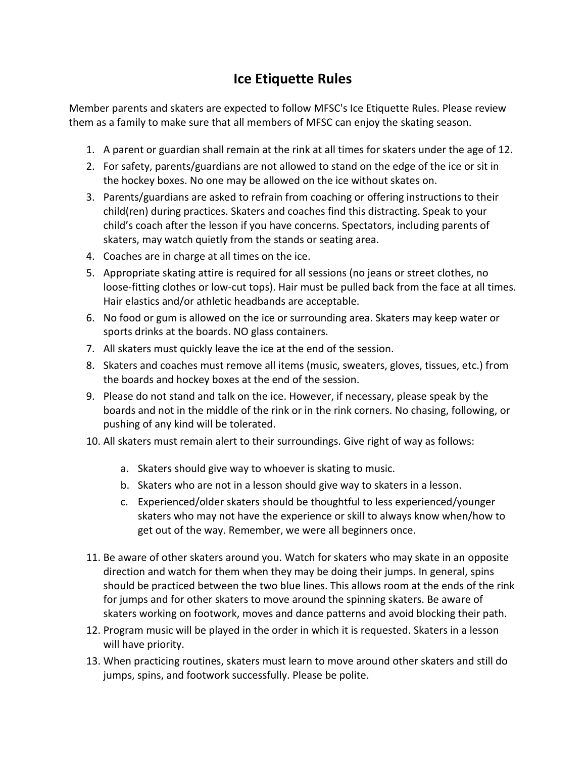## **Ice Etiquette Rules**

Member parents and skaters are expected to follow MFSC's Ice Etiquette Rules. Please review them as a family to make sure that all members of MFSC can enjoy the skating season.

- 1. A parent or guardian shall remain at the rink at all times for skaters under the age of 12.
- 2. For safety, parents/guardians are not allowed to stand on the edge of the ice or sit in the hockey boxes. No one may be allowed on the ice without skates on.
- 3. Parents/guardians are asked to refrain from coaching or offering instructions to their child(ren) during practices. Skaters and coaches find this distracting. Speak to your child's coach after the lesson if you have concerns. Spectators, including parents of skaters, may watch quietly from the stands or seating area.
- 4. Coaches are in charge at all times on the ice.
- 5. Appropriate skating attire is required for all sessions (no jeans or street clothes, no loose-fitting clothes or low-cut tops). Hair must be pulled back from the face at all times. Hair elastics and/or athletic headbands are acceptable.
- 6. No food or gum is allowed on the ice or surrounding area. Skaters may keep water or sports drinks at the boards. NO glass containers.
- 7. All skaters must quickly leave the ice at the end of the session.
- 8. Skaters and coaches must remove all items (music, sweaters, gloves, tissues, etc.) from the boards and hockey boxes at the end of the session.
- 9. Please do not stand and talk on the ice. However, if necessary, please speak by the boards and not in the middle of the rink or in the rink corners. No chasing, following, or pushing of any kind will be tolerated.
- 10. All skaters must remain alert to their surroundings. Give right of way as follows:
	- a. Skaters should give way to whoever is skating to music.
	- b. Skaters who are not in a lesson should give way to skaters in a lesson.
	- c. Experienced/older skaters should be thoughtful to less experienced/younger skaters who may not have the experience or skill to always know when/how to get out of the way. Remember, we were all beginners once.
- 11. Be aware of other skaters around you. Watch for skaters who may skate in an opposite direction and watch for them when they may be doing their jumps. In general, spins should be practiced between the two blue lines. This allows room at the ends of the rink for jumps and for other skaters to move around the spinning skaters. Be aware of skaters working on footwork, moves and dance patterns and avoid blocking their path.
- 12. Program music will be played in the order in which it is requested. Skaters in a lesson will have priority.
- 13. When practicing routines, skaters must learn to move around other skaters and still do jumps, spins, and footwork successfully. Please be polite.